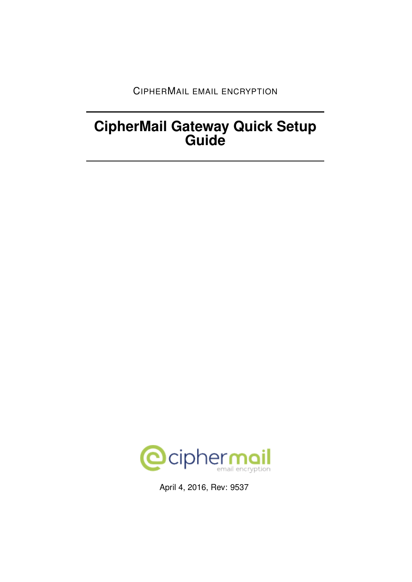CIPHERMAIL EMAIL ENCRYPTION

# **CipherMail Gateway Quick Setup Guide**



April 4, 2016, Rev: 9537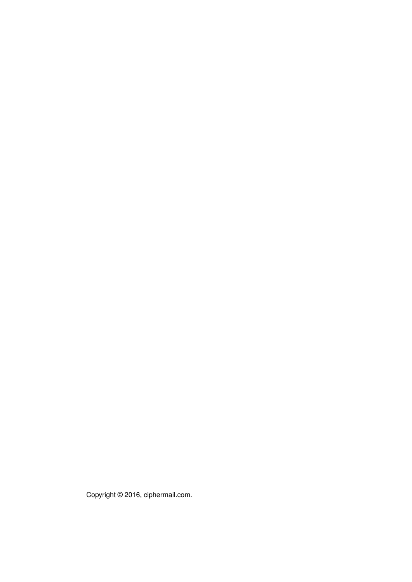Copyright © 2016, ciphermail.com.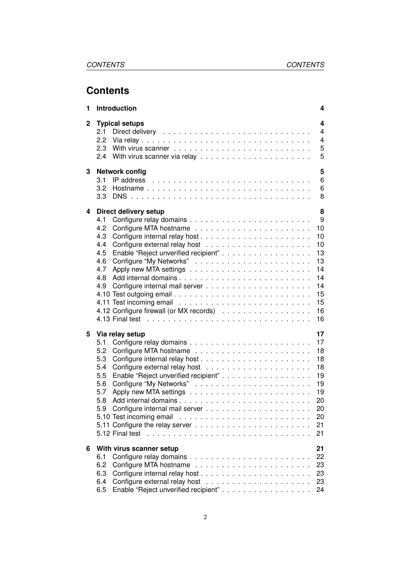# **Contents**

| 1            | Introduction                                                                                                                                                                                        | 4                                                                              |
|--------------|-----------------------------------------------------------------------------------------------------------------------------------------------------------------------------------------------------|--------------------------------------------------------------------------------|
| $\mathbf{2}$ | <b>Typical setups</b><br>2.1<br>2.2<br>2.3<br>2.4                                                                                                                                                   | 4<br>4<br>4<br>5<br>5                                                          |
| 3            | <b>Network config</b><br>3.1<br>3.2<br>3.3                                                                                                                                                          | 5<br>6<br>6<br>8                                                               |
| 4            | Direct delivery setup<br>4.1<br>4.2<br>4.3<br>4.4<br>Enable "Reject unverified recipient"<br>4.5<br>4.6<br>4.7<br>4.8<br>4.9<br>4.10 Test outgoing email<br>4.12 Configure firewall (or MX records) | 8<br>9<br>10<br>10<br>10<br>13<br>13<br>14<br>14<br>14<br>15<br>15<br>16<br>16 |
| 5            | Via relay setup<br>5.1<br>5.2<br>5.3<br>5.4<br>Enable "Reject unverified recipient"<br>5.5<br>5.6<br>5.7<br>5.8<br>5.9<br>5.12 Final test                                                           | 17<br>17<br>18<br>18<br>18<br>19<br>19<br>19<br>20<br>20<br>20<br>21<br>21     |
| 6            | With virus scanner setup<br>6.1<br>6.2<br>6.3<br>6.4<br>Enable "Reject unverified recipient"<br>6.5                                                                                                 | 21<br>22<br>23<br>23<br>23<br>24                                               |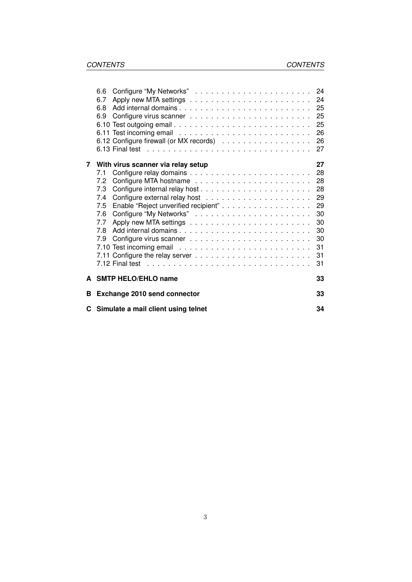|   | 6.6                                   |    |
|---|---------------------------------------|----|
|   | 6.7                                   |    |
|   | 6.8                                   | 25 |
|   | 6.9                                   | 25 |
|   |                                       | 25 |
|   |                                       | 26 |
|   |                                       | 26 |
|   |                                       | 27 |
| 7 | With virus scanner via relay setup    | 27 |
|   | 7.1                                   | 28 |
|   | 7.2                                   | 28 |
|   | 7.3                                   | 28 |
|   | 7.4                                   | 29 |
|   | 7.5                                   | 29 |
|   | 7.6                                   | 30 |
|   | 7.7                                   | 30 |
|   | 7.8                                   | 30 |
|   | 7.9                                   | 30 |
|   |                                       | 31 |
|   |                                       | 31 |
|   |                                       | 31 |
|   | A SMTP HELO/EHLO name                 | 33 |
|   |                                       |    |
| В | <b>Exchange 2010 send connector</b>   | 33 |
|   | C Simulate a mail client using telnet | 34 |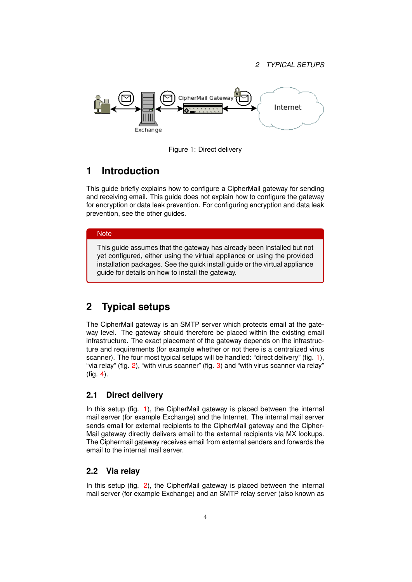

<span id="page-4-4"></span>Figure 1: Direct delivery

# <span id="page-4-0"></span>**1 Introduction**

This guide briefly explains how to configure a CipherMail gateway for sending and receiving email. This guide does not explain how to configure the gateway for encryption or data leak prevention. For configuring encryption and data leak prevention, see the other guides.

#### **Note**

This guide assumes that the gateway has already been installed but not yet configured, either using the virtual appliance or using the provided installation packages. See the quick install guide or the virtual appliance guide for details on how to install the gateway.

# <span id="page-4-1"></span>**2 Typical setups**

The CipherMail gateway is an SMTP server which protects email at the gateway level. The gateway should therefore be placed within the existing email infrastructure. The exact placement of the gateway depends on the infrastructure and requirements (for example whether or not there is a centralized virus scanner). The four most typical setups will be handled: "direct delivery" (fig. [1\)](#page-4-4), "via relay" (fig.  $2$ ), "with virus scanner" (fig.  $3$ ) and "with virus scanner via relay" (fig. [4\)](#page-6-2).

### <span id="page-4-2"></span>**2.1 Direct delivery**

In this setup (fig. [1\)](#page-4-4), the CipherMail gateway is placed between the internal mail server (for example Exchange) and the Internet. The internal mail server sends email for external recipients to the CipherMail gateway and the Cipher-Mail gateway directly delivers email to the external recipients via MX lookups. The Ciphermail gateway receives email from external senders and forwards the email to the internal mail server.

### <span id="page-4-3"></span>**2.2 Via relay**

In this setup (fig. [2\)](#page-5-3), the CipherMail gateway is placed between the internal mail server (for example Exchange) and an SMTP relay server (also known as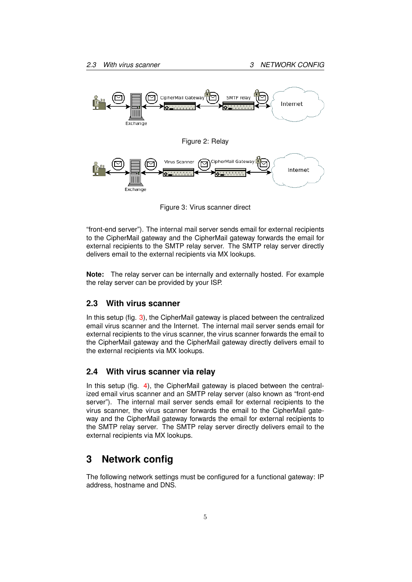

<span id="page-5-4"></span><span id="page-5-3"></span>Figure 3: Virus scanner direct

"front-end server"). The internal mail server sends email for external recipients to the CipherMail gateway and the CipherMail gateway forwards the email for external recipients to the SMTP relay server. The SMTP relay server directly delivers email to the external recipients via MX lookups.

**Note:** The relay server can be internally and externally hosted. For example the relay server can be provided by your ISP.

### <span id="page-5-0"></span>**2.3 With virus scanner**

In this setup (fig. [3\)](#page-5-4), the CipherMail gateway is placed between the centralized email virus scanner and the Internet. The internal mail server sends email for external recipients to the virus scanner, the virus scanner forwards the email to the CipherMail gateway and the CipherMail gateway directly delivers email to the external recipients via MX lookups.

### <span id="page-5-1"></span>**2.4 With virus scanner via relay**

In this setup (fig. [4\)](#page-6-2), the CipherMail gateway is placed between the centralized email virus scanner and an SMTP relay server (also known as "front-end server"). The internal mail server sends email for external recipients to the virus scanner, the virus scanner forwards the email to the CipherMail gateway and the CipherMail gateway forwards the email for external recipients to the SMTP relay server. The SMTP relay server directly delivers email to the external recipients via MX lookups.

# <span id="page-5-2"></span>**3 Network config**

The following network settings must be configured for a functional gateway: IP address, hostname and DNS.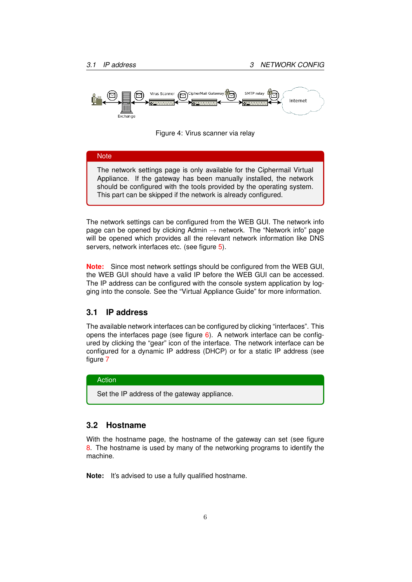

<span id="page-6-2"></span>



The network settings can be configured from the WEB GUI. The network info page can be opened by clicking Admin  $\rightarrow$  network. The "Network info" page will be opened which provides all the relevant network information like DNS servers, network interfaces etc. (see figure [5\)](#page-7-0).

**Note:** Since most network settings should be configured from the WEB GUI, the WEB GUI should have a valid IP before the WEB GUI can be accessed. The IP address can be configured with the console system application by logging into the console. See the "Virtual Appliance Guide" for more information.

### <span id="page-6-0"></span>**3.1 IP address**

The available network interfaces can be configured by clicking "interfaces". This opens the interfaces page (see figure  $6$ ). A network interface can be configured by clicking the "gear" icon of the interface. The network interface can be configured for a dynamic IP address (DHCP) or for a static IP address (see figure [7](#page-8-2)

#### Action

Set the IP address of the gateway appliance.

### <span id="page-6-1"></span>**3.2 Hostname**

With the hostname page, the hostname of the gateway can set (see figure [8.](#page-8-3) The hostname is used by many of the networking programs to identify the machine.

**Note:** It's advised to use a fully qualified hostname.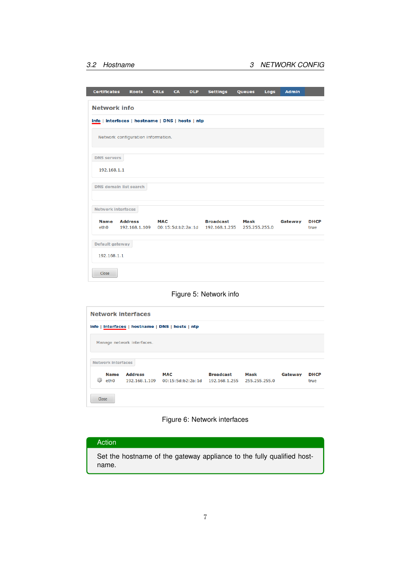| <b>Certificates</b>                              | <b>Roots</b>                       | <b>CRLs</b> | <b>CA</b> | <b>DLP</b> | <b>Settings</b>                                     | Queues                | Logs | <b>Admin</b> |                     |
|--------------------------------------------------|------------------------------------|-------------|-----------|------------|-----------------------------------------------------|-----------------------|------|--------------|---------------------|
| <b>Network info</b>                              |                                    |             |           |            |                                                     |                       |      |              |                     |
| info   interfaces   hostname   DNS   hosts   ntp |                                    |             |           |            |                                                     |                       |      |              |                     |
|                                                  | Network configuration information. |             |           |            |                                                     |                       |      |              |                     |
|                                                  |                                    |             |           |            |                                                     |                       |      |              |                     |
| <b>DNS</b> servers                               |                                    |             |           |            |                                                     |                       |      |              |                     |
| 192.168.1.1                                      |                                    |             |           |            |                                                     |                       |      |              |                     |
|                                                  |                                    |             |           |            |                                                     |                       |      |              |                     |
| <b>DNS domain list search</b>                    |                                    |             |           |            |                                                     |                       |      |              |                     |
| <b>Network interfaces</b>                        |                                    |             |           |            |                                                     |                       |      |              |                     |
|                                                  |                                    |             |           |            |                                                     |                       |      |              |                     |
| <b>Name</b><br>eth <sub>0</sub>                  | <b>Address</b><br>192.168.1.109    | <b>MAC</b>  |           |            | <b>Broadcast</b><br>00:15:5d:b2:2a:1d 192.168.1.255 | Mask<br>255.255.255.0 |      | Gateway      | <b>DHCP</b><br>true |
| Default gateway                                  |                                    |             |           |            |                                                     |                       |      |              |                     |
| 192.168.1.1                                      |                                    |             |           |            |                                                     |                       |      |              |                     |
| Close                                            |                                    |             |           |            |                                                     |                       |      |              |                     |

### <span id="page-7-0"></span>Figure 5: Network info

|                                                  | <b>Network interfaces</b> |                            |                   |                  |               |         |             |  |  |
|--------------------------------------------------|---------------------------|----------------------------|-------------------|------------------|---------------|---------|-------------|--|--|
| info   interfaces   hostname   DNS   hosts   ntp |                           |                            |                   |                  |               |         |             |  |  |
|                                                  |                           | Manage network interfaces. |                   |                  |               |         |             |  |  |
|                                                  | <b>Network interfaces</b> |                            |                   |                  |               |         |             |  |  |
|                                                  | <b>Name</b>               | <b>Address</b>             | <b>MAC</b>        | <b>Broadcast</b> | Mask          | Gateway | <b>DHCP</b> |  |  |
| ø                                                | eth <sub>0</sub>          | 192.168.1.109              | 00:15:5d:b2:2a:1d | 192.168.1.255    | 255.255.255.0 |         | true        |  |  |
| Close                                            |                           |                            |                   |                  |               |         |             |  |  |

### <span id="page-7-1"></span>Figure 6: Network interfaces

| Action |  |
|--------|--|
|        |  |

Set the hostname of the gateway appliance to the fully qualified hostname.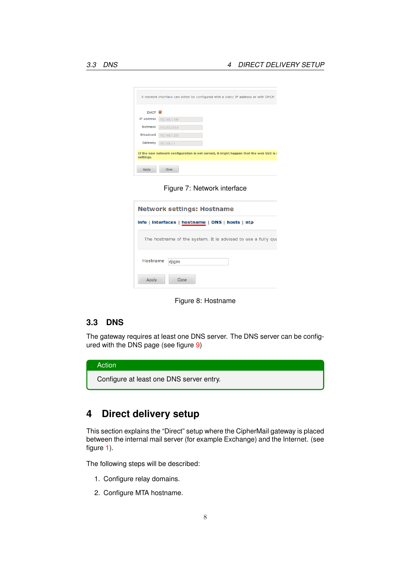| DHCP M           |                                                                                        |  |  |
|------------------|----------------------------------------------------------------------------------------|--|--|
| IP address       | 192.168.1.109                                                                          |  |  |
| <b>Netmask</b>   | 255.255.255.0                                                                          |  |  |
| <b>Broadcast</b> | 192.168.1.255                                                                          |  |  |
| Gateway          | 192.168.1.1                                                                            |  |  |
|                  | If the new network configuration is not correct, it might happen that the web GUI is a |  |  |

<span id="page-8-2"></span>Figure 7: Network interface

| Network settings: Hostname                                   |  |  |  |  |  |
|--------------------------------------------------------------|--|--|--|--|--|
| info   interfaces   hostname   DNS   hosts   ntp             |  |  |  |  |  |
| The hostname of the system. It is advised to use a fully qua |  |  |  |  |  |
| Hostname<br>djigzo                                           |  |  |  |  |  |
| Close<br>Apply                                               |  |  |  |  |  |

<span id="page-8-3"></span>Figure 8: Hostname

### <span id="page-8-0"></span>**3.3 DNS**

The gateway requires at least one DNS server. The DNS server can be configured with the DNS page (see figure [9\)](#page-9-1)

| Action                                   |
|------------------------------------------|
| Configure at least one DNS server entry. |

# <span id="page-8-1"></span>**4 Direct delivery setup**

This section explains the "Direct" setup where the CipherMail gateway is placed between the internal mail server (for example Exchange) and the Internet. (see figure [1\)](#page-4-4).

The following steps will be described:

- 1. Configure relay domains.
- 2. Configure MTA hostname.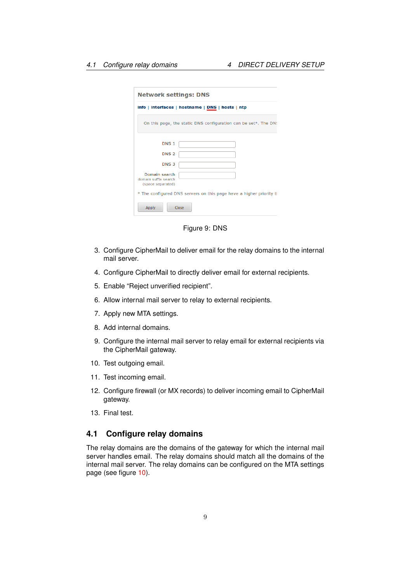|                                                            | info   interfaces   hostname   DNS   hosts   ntp                    |
|------------------------------------------------------------|---------------------------------------------------------------------|
|                                                            | On this page, the static DNS configuration can be set*. The DN!     |
| DNS <sub>1</sub>                                           |                                                                     |
| DNS <sub>2</sub>                                           |                                                                     |
| DNS <sub>3</sub>                                           |                                                                     |
| Domain search<br>domain suffix search<br>(space separated) |                                                                     |
|                                                            | * The configured DNS servers on this page have a higher priority tl |

<span id="page-9-1"></span>Figure 9: DNS

- 3. Configure CipherMail to deliver email for the relay domains to the internal mail server.
- 4. Configure CipherMail to directly deliver email for external recipients.
- 5. Enable "Reject unverified recipient".
- 6. Allow internal mail server to relay to external recipients.
- 7. Apply new MTA settings.
- 8. Add internal domains.
- 9. Configure the internal mail server to relay email for external recipients via the CipherMail gateway.
- 10. Test outgoing email.
- 11. Test incoming email.
- 12. Configure firewall (or MX records) to deliver incoming email to CipherMail gateway.
- 13. Final test.

### <span id="page-9-0"></span>**4.1 Configure relay domains**

The relay domains are the domains of the gateway for which the internal mail server handles email. The relay domains should match all the domains of the internal mail server. The relay domains can be configured on the MTA settings page (see figure [10\)](#page-11-0).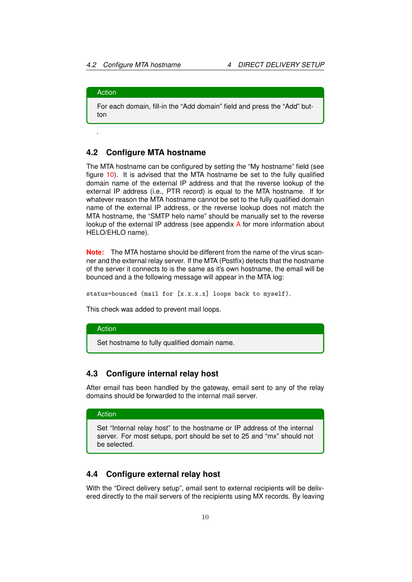### Action

.

For each domain, fill-in the "Add domain" field and press the "Add" button

### <span id="page-10-0"></span>**4.2 Configure MTA hostname**

The MTA hostname can be configured by setting the "My hostname" field (see figure [10\)](#page-11-0). It is advised that the MTA hostname be set to the fully qualified domain name of the external IP address and that the reverse lookup of the external IP address (i.e., PTR record) is equal to the MTA hostname. If for whatever reason the MTA hostname cannot be set to the fully qualified domain name of the external IP address, or the reverse lookup does not match the MTA hostname, the "SMTP helo name" should be manually set to the reverse lookup of the external IP address (see appendix [A](#page-33-0) for more information about HELO/EHLO name).

**Note:** The MTA hostame should be different from the name of the virus scanner and the external relay server. If the MTA (Postfix) detects that the hostname of the server it connects to is the same as it's own hostname, the email will be bounced and a the following message will appear in the MTA log:

status=bounced (mail for [x.x.x.x] loops back to myself).

This check was added to prevent mail loops.

### Action

Set hostname to fully qualified domain name.

### <span id="page-10-1"></span>**4.3 Configure internal relay host**

After email has been handled by the gateway, email sent to any of the relay domains should be forwarded to the internal mail server.

### Action

Set "Internal relay host" to the hostname or IP address of the internal server. For most setups, port should be set to 25 and "mx" should not be selected.

### <span id="page-10-2"></span>**4.4 Configure external relay host**

With the "Direct delivery setup", email sent to external recipients will be delivered directly to the mail servers of the recipients using MX records. By leaving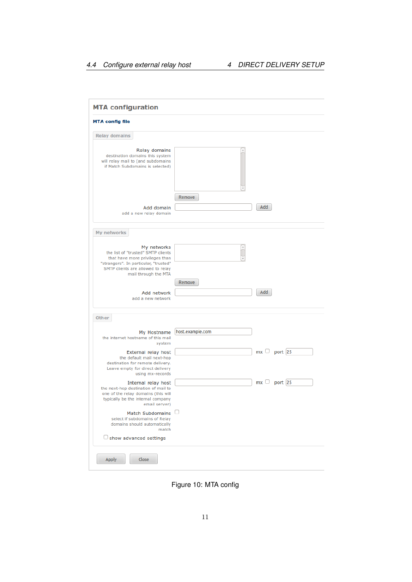| <b>MTA config file</b>                                                                                                                                                                    |                  |     |                   |
|-------------------------------------------------------------------------------------------------------------------------------------------------------------------------------------------|------------------|-----|-------------------|
| <b>Relay domains</b>                                                                                                                                                                      |                  |     |                   |
| Relay domains<br>destination domains this system<br>will relay mail to (and subdomains<br>if Match Subdomains is selected)                                                                |                  |     |                   |
| Add domain<br>add a new relay domain                                                                                                                                                      | Remove           | Add |                   |
| My networks                                                                                                                                                                               |                  |     |                   |
| My networks<br>the list of "trusted" SMTP clients<br>that have more privileges than<br>"strangers". In particular, "trusted"<br>SMTP clients are allowed to relay<br>mail through the MTA | Remove           |     |                   |
| Add network<br>add a new network                                                                                                                                                          |                  | Add |                   |
| <b>Other</b>                                                                                                                                                                              |                  |     |                   |
| My Hostname<br>the internet hostname of this mail<br>system                                                                                                                               | host.example.com |     |                   |
| External relay host<br>the default mail next-hop<br>destination for remote delivery.<br>Leave empty for direct delivery<br>using mx-records                                               |                  |     | $mx \Box$ port 25 |
| Internal relay host<br>the next-hop destination of mail to<br>one of the relay domains (this will<br>typically be the internal company<br>email server)                                   |                  |     | $mx \Box$ port 25 |
| <b>Match Subdomains</b><br>select if subdomains of Relay<br>domains should automatically<br>match                                                                                         |                  |     |                   |
| $\Box$ show advanced settings                                                                                                                                                             |                  |     |                   |

<span id="page-11-0"></span>Figure 10: MTA config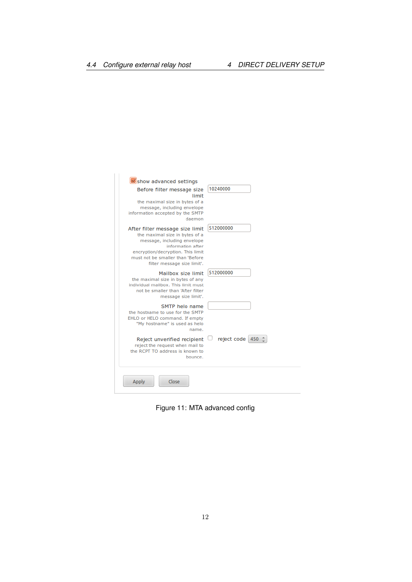| Show advanced settings<br>Before filter message size<br>limit<br>the maximal size in bytes of a<br>message, including envelope<br>information accepted by the SMTP<br>daemon                                                  | 10240000           |
|-------------------------------------------------------------------------------------------------------------------------------------------------------------------------------------------------------------------------------|--------------------|
| After filter message size limit<br>the maximal size in bytes of a<br>message, including envelope<br>information after<br>encryption/decryption. This limit<br>must not be smaller than 'Before<br>filter message size limit'. | 512000000          |
| Mailbox size limit<br>the maximal size in bytes of any<br>individual mailbox. This limit must<br>not be smaller than 'After filter<br>message size limit'.                                                                    | 512000000          |
| SMTP helo name<br>the hostname to use for the SMTP<br>EHLO or HELO command. If empty<br>"My hostname" is used as helo<br>name.                                                                                                |                    |
| Reject unverified recipient<br>reject the request when mail to<br>the RCPT TO address is known to<br>bounce.                                                                                                                  | reject code<br>450 |

Figure 11: MTA advanced config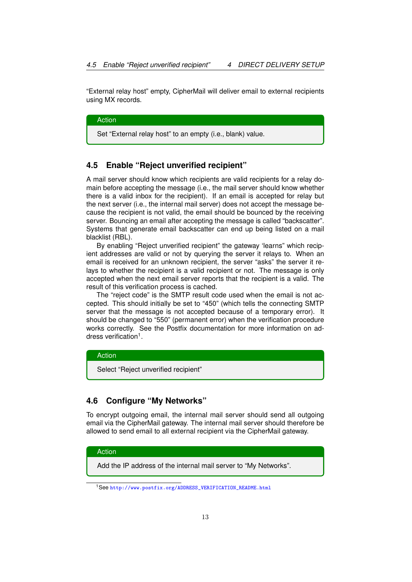"External relay host" empty, CipherMail will deliver email to external recipients using MX records.

Action

Set "External relay host" to an empty (i.e., blank) value.

### <span id="page-13-0"></span>**4.5 Enable "Reject unverified recipient"**

A mail server should know which recipients are valid recipients for a relay domain before accepting the message (i.e., the mail server should know whether there is a valid inbox for the recipient). If an email is accepted for relay but the next server (i.e., the internal mail server) does not accept the message because the recipient is not valid, the email should be bounced by the receiving server. Bouncing an email after accepting the message is called "backscatter". Systems that generate email backscatter can end up being listed on a mail blacklist (RBL).

By enabling "Reject unverified recipient" the gateway 'learns" which recipient addresses are valid or not by querying the server it relays to. When an email is received for an unknown recipient, the server "asks" the server it relays to whether the recipient is a valid recipient or not. The message is only accepted when the next email server reports that the recipient is a valid. The result of this verification process is cached.

The "reject code" is the SMTP result code used when the email is not accepted. This should initially be set to "450" (which tells the connecting SMTP server that the message is not accepted because of a temporary error). It should be changed to "550" (permanent error) when the verification procedure works correctly. See the Postfix documentation for more information on address verification<sup>1</sup>.

#### Action

Select "Reject unverified recipient"

### <span id="page-13-1"></span>**4.6 Configure "My Networks"**

To encrypt outgoing email, the internal mail server should send all outgoing email via the CipherMail gateway. The internal mail server should therefore be allowed to send email to all external recipient via the CipherMail gateway.

#### Action

Add the IP address of the internal mail server to "My Networks".

<sup>1</sup>See [http://www.postfix.org/ADDRESS\\_VERIFICATION\\_README.html](http://www.postfix.org/ADDRESS_VERIFICATION_README.html)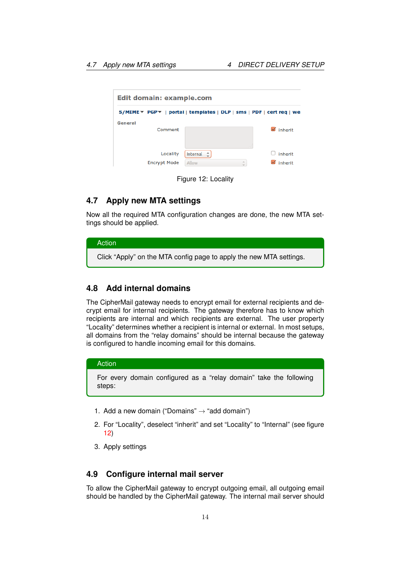| Edit domain: example.com        |                                                                       |                    |
|---------------------------------|-----------------------------------------------------------------------|--------------------|
|                                 | S/MIME T PGP T   portal   templates   DLP   sms   PDF   cert req   we |                    |
| General<br>Comment              | GB                                                                    | inherit            |
| Locality<br><b>Encrypt Mode</b> | Internal<br>÷<br>A.<br>Allow<br>$\overline{\phantom{a}}$              | inherit<br>inherit |

<span id="page-14-3"></span>Figure 12: Locality

### <span id="page-14-0"></span>**4.7 Apply new MTA settings**

Now all the required MTA configuration changes are done, the new MTA settings should be applied.

### Action

Click "Apply" on the MTA config page to apply the new MTA settings.

### <span id="page-14-1"></span>**4.8 Add internal domains**

The CipherMail gateway needs to encrypt email for external recipients and decrypt email for internal recipients. The gateway therefore has to know which recipients are internal and which recipients are external. The user property "Locality" determines whether a recipient is internal or external. In most setups, all domains from the "relay domains" should be internal because the gateway is configured to handle incoming email for this domains.

### Action

For every domain configured as a "relay domain" take the following steps:

- 1. Add a new domain ("Domains"  $\rightarrow$  "add domain")
- 2. For "Locality", deselect "inherit" and set "Locality" to "Internal" (see figure [12\)](#page-14-3)
- 3. Apply settings

### <span id="page-14-2"></span>**4.9 Configure internal mail server**

To allow the CipherMail gateway to encrypt outgoing email, all outgoing email should be handled by the CipherMail gateway. The internal mail server should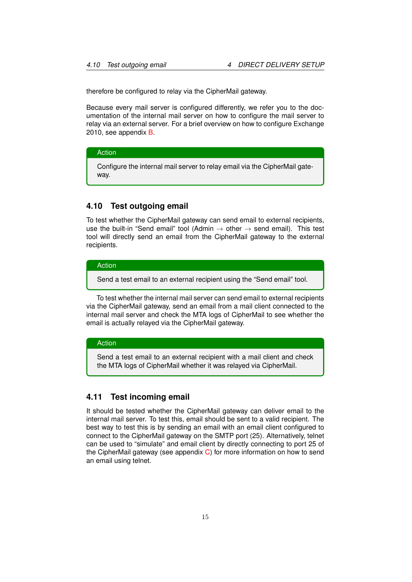therefore be configured to relay via the CipherMail gateway.

Because every mail server is configured differently, we refer you to the documentation of the internal mail server on how to configure the mail server to relay via an external server. For a brief overview on how to configure Exchange 2010, see appendix [B.](#page-33-1)

#### Action

Configure the internal mail server to relay email via the CipherMail gateway.

### <span id="page-15-0"></span>**4.10 Test outgoing email**

To test whether the CipherMail gateway can send email to external recipients, use the built-in "Send email" tool (Admin  $\rightarrow$  other  $\rightarrow$  send email). This test tool will directly send an email from the CipherMail gateway to the external recipients.

#### Action

Send a test email to an external recipient using the "Send email" tool.

To test whether the internal mail server can send email to external recipients via the CipherMail gateway, send an email from a mail client connected to the internal mail server and check the MTA logs of CipherMail to see whether the email is actually relayed via the CipherMail gateway.

#### Action

Send a test email to an external recipient with a mail client and check the MTA logs of CipherMail whether it was relayed via CipherMail.

### <span id="page-15-1"></span>**4.11 Test incoming email**

It should be tested whether the CipherMail gateway can deliver email to the internal mail server. To test this, email should be sent to a valid recipient. The best way to test this is by sending an email with an email client configured to connect to the CipherMail gateway on the SMTP port (25). Alternatively, telnet can be used to "simulate" and email client by directly connecting to port 25 of the CipherMail gateway (see appendix [C\)](#page-34-0) for more information on how to send an email using telnet.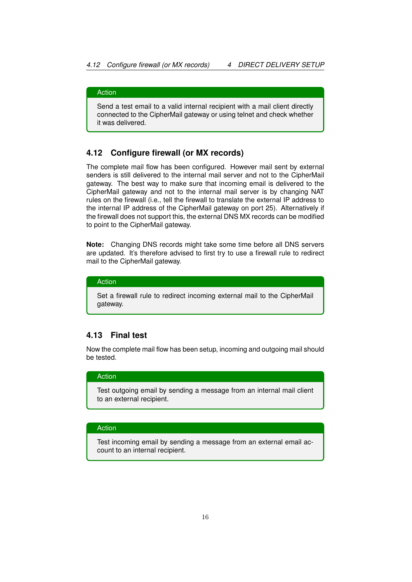### Action

Send a test email to a valid internal recipient with a mail client directly connected to the CipherMail gateway or using telnet and check whether it was delivered.

### <span id="page-16-0"></span>**4.12 Configure firewall (or MX records)**

The complete mail flow has been configured. However mail sent by external senders is still delivered to the internal mail server and not to the CipherMail gateway. The best way to make sure that incoming email is delivered to the CipherMail gateway and not to the internal mail server is by changing NAT rules on the firewall (i.e., tell the firewall to translate the external IP address to the internal IP address of the CipherMail gateway on port 25). Alternatively if the firewall does not support this, the external DNS MX records can be modified to point to the CipherMail gateway.

**Note:** Changing DNS records might take some time before all DNS servers are updated. It's therefore advised to first try to use a firewall rule to redirect mail to the CipherMail gateway.

#### Action

Set a firewall rule to redirect incoming external mail to the CipherMail gateway.

### <span id="page-16-1"></span>**4.13 Final test**

Now the complete mail flow has been setup, incoming and outgoing mail should be tested.

### Action

Test outgoing email by sending a message from an internal mail client to an external recipient.

#### Action

Test incoming email by sending a message from an external email account to an internal recipient.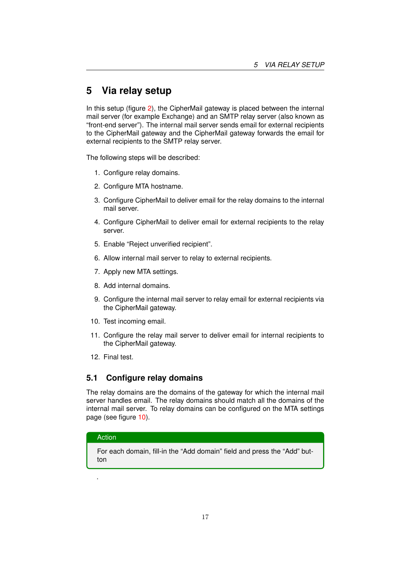# <span id="page-17-0"></span>**5 Via relay setup**

In this setup (figure [2\)](#page-5-3), the CipherMail gateway is placed between the internal mail server (for example Exchange) and an SMTP relay server (also known as "front-end server"). The internal mail server sends email for external recipients to the CipherMail gateway and the CipherMail gateway forwards the email for external recipients to the SMTP relay server.

The following steps will be described:

- 1. Configure relay domains.
- 2. Configure MTA hostname.
- 3. Configure CipherMail to deliver email for the relay domains to the internal mail server.
- 4. Configure CipherMail to deliver email for external recipients to the relay server.
- 5. Enable "Reject unverified recipient".
- 6. Allow internal mail server to relay to external recipients.
- 7. Apply new MTA settings.
- 8. Add internal domains.
- 9. Configure the internal mail server to relay email for external recipients via the CipherMail gateway.
- 10. Test incoming email.
- 11. Configure the relay mail server to deliver email for internal recipients to the CipherMail gateway.
- 12. Final test.

### <span id="page-17-1"></span>**5.1 Configure relay domains**

The relay domains are the domains of the gateway for which the internal mail server handles email. The relay domains should match all the domains of the internal mail server. To relay domains can be configured on the MTA settings page (see figure [10\)](#page-11-0).

#### Action

.

For each domain, fill-in the "Add domain" field and press the "Add" button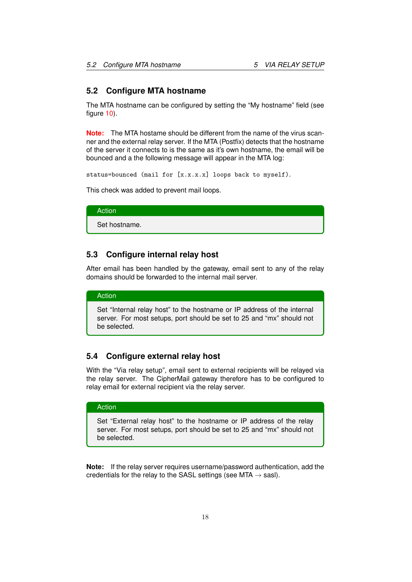### <span id="page-18-0"></span>**5.2 Configure MTA hostname**

The MTA hostname can be configured by setting the "My hostname" field (see figure [10\)](#page-11-0).

**Note:** The MTA hostame should be different from the name of the virus scanner and the external relay server. If the MTA (Postfix) detects that the hostname of the server it connects to is the same as it's own hostname, the email will be bounced and a the following message will appear in the MTA log:

status=bounced (mail for [x.x.x.x] loops back to myself).

This check was added to prevent mail loops.

Action

Set hostname.

### <span id="page-18-1"></span>**5.3 Configure internal relay host**

After email has been handled by the gateway, email sent to any of the relay domains should be forwarded to the internal mail server.

#### Action

Set "Internal relay host" to the hostname or IP address of the internal server. For most setups, port should be set to 25 and "mx" should not be selected.

### <span id="page-18-2"></span>**5.4 Configure external relay host**

With the "Via relay setup", email sent to external recipients will be relayed via the relay server. The CipherMail gateway therefore has to be configured to relay email for external recipient via the relay server.

### Action

Set "External relay host" to the hostname or IP address of the relay server. For most setups, port should be set to 25 and "mx" should not be selected.

**Note:** If the relay server requires username/password authentication, add the credentials for the relay to the SASL settings (see MTA  $\rightarrow$  sasI).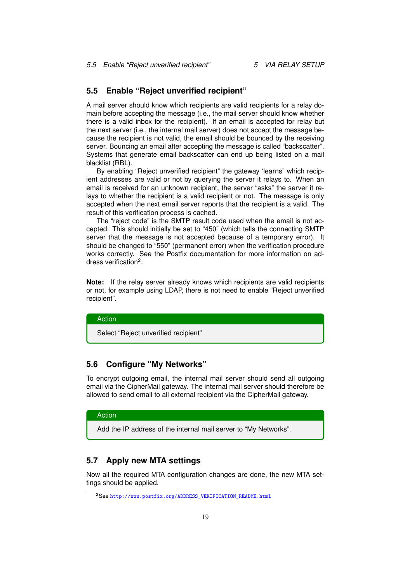### <span id="page-19-0"></span>**5.5 Enable "Reject unverified recipient"**

A mail server should know which recipients are valid recipients for a relay domain before accepting the message (i.e., the mail server should know whether there is a valid inbox for the recipient). If an email is accepted for relay but the next server (i.e., the internal mail server) does not accept the message because the recipient is not valid, the email should be bounced by the receiving server. Bouncing an email after accepting the message is called "backscatter". Systems that generate email backscatter can end up being listed on a mail blacklist (RBL).

By enabling "Reject unverified recipient" the gateway 'learns" which recipient addresses are valid or not by querying the server it relays to. When an email is received for an unknown recipient, the server "asks" the server it relays to whether the recipient is a valid recipient or not. The message is only accepted when the next email server reports that the recipient is a valid. The result of this verification process is cached.

The "reject code" is the SMTP result code used when the email is not accepted. This should initially be set to "450" (which tells the connecting SMTP server that the message is not accepted because of a temporary error). It should be changed to "550" (permanent error) when the verification procedure works correctly. See the Postfix documentation for more information on address verification<sup>2</sup>.

**Note:** If the relay server already knows which recipients are valid recipients or not, for example using LDAP, there is not need to enable "Reject unverified recipient".

#### Action

Select "Reject unverified recipient"

### <span id="page-19-1"></span>**5.6 Configure "My Networks"**

To encrypt outgoing email, the internal mail server should send all outgoing email via the CipherMail gateway. The internal mail server should therefore be allowed to send email to all external recipient via the CipherMail gateway.

#### Action

Add the IP address of the internal mail server to "My Networks".

### <span id="page-19-2"></span>**5.7 Apply new MTA settings**

Now all the required MTA configuration changes are done, the new MTA settings should be applied.

<sup>2</sup>See [http://www.postfix.org/ADDRESS\\_VERIFICATION\\_README.html](http://www.postfix.org/ADDRESS_VERIFICATION_README.html)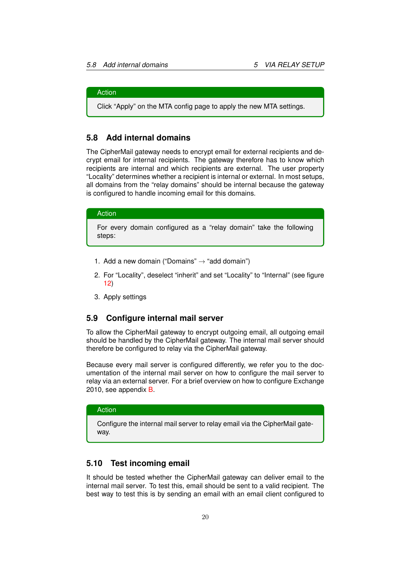#### Action

Click "Apply" on the MTA config page to apply the new MTA settings.

### <span id="page-20-0"></span>**5.8 Add internal domains**

The CipherMail gateway needs to encrypt email for external recipients and decrypt email for internal recipients. The gateway therefore has to know which recipients are internal and which recipients are external. The user property "Locality" determines whether a recipient is internal or external. In most setups, all domains from the "relay domains" should be internal because the gateway is configured to handle incoming email for this domains.

#### Action

For every domain configured as a "relay domain" take the following steps:

- 1. Add a new domain ("Domains"  $\rightarrow$  "add domain")
- 2. For "Locality", deselect "inherit" and set "Locality" to "Internal" (see figure [12\)](#page-14-3)
- 3. Apply settings

#### <span id="page-20-1"></span>**5.9 Configure internal mail server**

To allow the CipherMail gateway to encrypt outgoing email, all outgoing email should be handled by the CipherMail gateway. The internal mail server should therefore be configured to relay via the CipherMail gateway.

Because every mail server is configured differently, we refer you to the documentation of the internal mail server on how to configure the mail server to relay via an external server. For a brief overview on how to configure Exchange 2010, see appendix [B.](#page-33-1)

#### Action

Configure the internal mail server to relay email via the CipherMail gateway.

#### <span id="page-20-2"></span>**5.10 Test incoming email**

It should be tested whether the CipherMail gateway can deliver email to the internal mail server. To test this, email should be sent to a valid recipient. The best way to test this is by sending an email with an email client configured to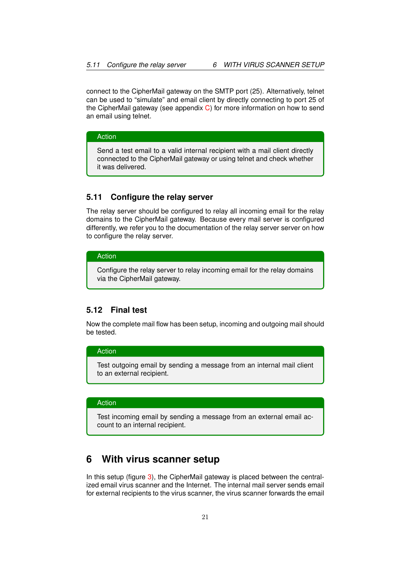connect to the CipherMail gateway on the SMTP port (25). Alternatively, telnet can be used to "simulate" and email client by directly connecting to port 25 of the CipherMail gateway (see appendix [C\)](#page-34-0) for more information on how to send an email using telnet.

#### Action

Send a test email to a valid internal recipient with a mail client directly connected to the CipherMail gateway or using telnet and check whether it was delivered.

### <span id="page-21-0"></span>**5.11 Configure the relay server**

The relay server should be configured to relay all incoming email for the relay domains to the CipherMail gateway. Because every mail server is configured differently, we refer you to the documentation of the relay server server on how to configure the relay server.

### Action

Configure the relay server to relay incoming email for the relay domains via the CipherMail gateway.

### <span id="page-21-1"></span>**5.12 Final test**

Now the complete mail flow has been setup, incoming and outgoing mail should be tested.

### Action

Test outgoing email by sending a message from an internal mail client to an external recipient.

### Action

Test incoming email by sending a message from an external email account to an internal recipient.

# <span id="page-21-2"></span>**6 With virus scanner setup**

In this setup (figure [3\)](#page-5-4), the CipherMail gateway is placed between the centralized email virus scanner and the Internet. The internal mail server sends email for external recipients to the virus scanner, the virus scanner forwards the email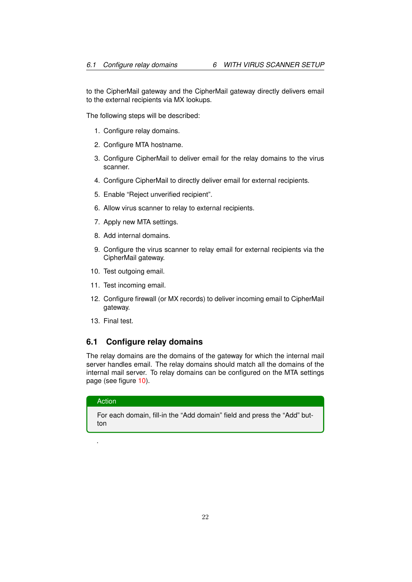to the CipherMail gateway and the CipherMail gateway directly delivers email to the external recipients via MX lookups.

The following steps will be described:

- 1. Configure relay domains.
- 2. Configure MTA hostname.
- 3. Configure CipherMail to deliver email for the relay domains to the virus scanner.
- 4. Configure CipherMail to directly deliver email for external recipients.
- 5. Enable "Reject unverified recipient".
- 6. Allow virus scanner to relay to external recipients.
- 7. Apply new MTA settings.
- 8. Add internal domains.
- 9. Configure the virus scanner to relay email for external recipients via the CipherMail gateway.
- 10. Test outgoing email.
- 11. Test incoming email.
- 12. Configure firewall (or MX records) to deliver incoming email to CipherMail gateway.
- 13. Final test.

### <span id="page-22-0"></span>**6.1 Configure relay domains**

The relay domains are the domains of the gateway for which the internal mail server handles email. The relay domains should match all the domains of the internal mail server. To relay domains can be configured on the MTA settings page (see figure [10\)](#page-11-0).

### Action

.

For each domain, fill-in the "Add domain" field and press the "Add" button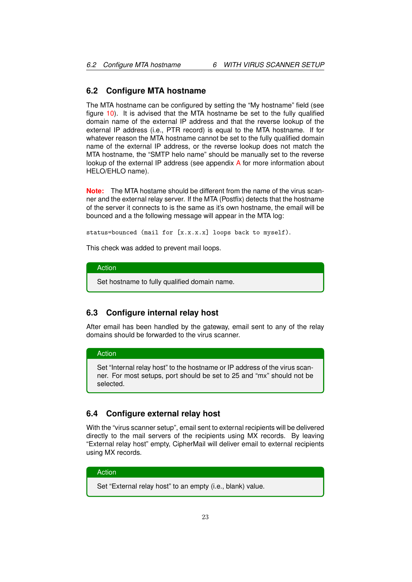### <span id="page-23-0"></span>**6.2 Configure MTA hostname**

The MTA hostname can be configured by setting the "My hostname" field (see figure [10\)](#page-11-0). It is advised that the MTA hostname be set to the fully qualified domain name of the external IP address and that the reverse lookup of the external IP address (i.e., PTR record) is equal to the MTA hostname. If for whatever reason the MTA hostname cannot be set to the fully qualified domain name of the external IP address, or the reverse lookup does not match the MTA hostname, the "SMTP helo name" should be manually set to the reverse lookup of the external IP address (see appendix [A](#page-33-0) for more information about HELO/EHLO name).

**Note:** The MTA hostame should be different from the name of the virus scanner and the external relay server. If the MTA (Postfix) detects that the hostname of the server it connects to is the same as it's own hostname, the email will be bounced and a the following message will appear in the MTA log:

status=bounced (mail for [x.x.x.x] loops back to myself).

This check was added to prevent mail loops.

### Action

Set hostname to fully qualified domain name.

### <span id="page-23-1"></span>**6.3 Configure internal relay host**

After email has been handled by the gateway, email sent to any of the relay domains should be forwarded to the virus scanner.

### Action

Set "Internal relay host" to the hostname or IP address of the virus scanner. For most setups, port should be set to 25 and "mx" should not be selected.

### <span id="page-23-2"></span>**6.4 Configure external relay host**

With the "virus scanner setup", email sent to external recipients will be delivered directly to the mail servers of the recipients using MX records. By leaving "External relay host" empty, CipherMail will deliver email to external recipients using MX records.

### Action

Set "External relay host" to an empty (i.e., blank) value.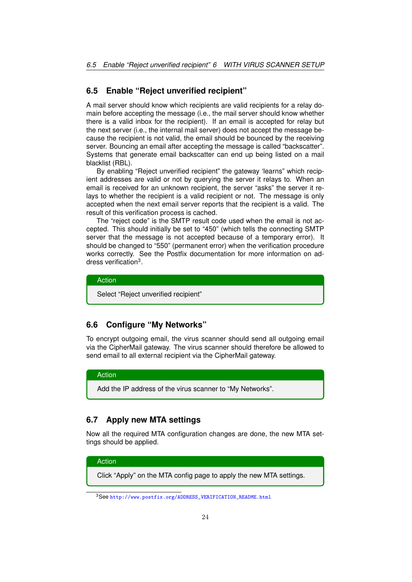### <span id="page-24-0"></span>**6.5 Enable "Reject unverified recipient"**

A mail server should know which recipients are valid recipients for a relay domain before accepting the message (i.e., the mail server should know whether there is a valid inbox for the recipient). If an email is accepted for relay but the next server (i.e., the internal mail server) does not accept the message because the recipient is not valid, the email should be bounced by the receiving server. Bouncing an email after accepting the message is called "backscatter". Systems that generate email backscatter can end up being listed on a mail blacklist (RBL).

By enabling "Reject unverified recipient" the gateway 'learns" which recipient addresses are valid or not by querying the server it relays to. When an email is received for an unknown recipient, the server "asks" the server it relays to whether the recipient is a valid recipient or not. The message is only accepted when the next email server reports that the recipient is a valid. The result of this verification process is cached.

The "reject code" is the SMTP result code used when the email is not accepted. This should initially be set to "450" (which tells the connecting SMTP server that the message is not accepted because of a temporary error). It should be changed to "550" (permanent error) when the verification procedure works correctly. See the Postfix documentation for more information on address verification<sup>3</sup>.

### Action

Select "Reject unverified recipient"

### <span id="page-24-1"></span>**6.6 Configure "My Networks"**

To encrypt outgoing email, the virus scanner should send all outgoing email via the CipherMail gateway. The virus scanner should therefore be allowed to send email to all external recipient via the CipherMail gateway.

### Action

Add the IP address of the virus scanner to "My Networks".

### <span id="page-24-2"></span>**6.7 Apply new MTA settings**

Now all the required MTA configuration changes are done, the new MTA settings should be applied.

Action Click "Apply" on the MTA config page to apply the new MTA settings.

<sup>3</sup>See [http://www.postfix.org/ADDRESS\\_VERIFICATION\\_README.html](http://www.postfix.org/ADDRESS_VERIFICATION_README.html)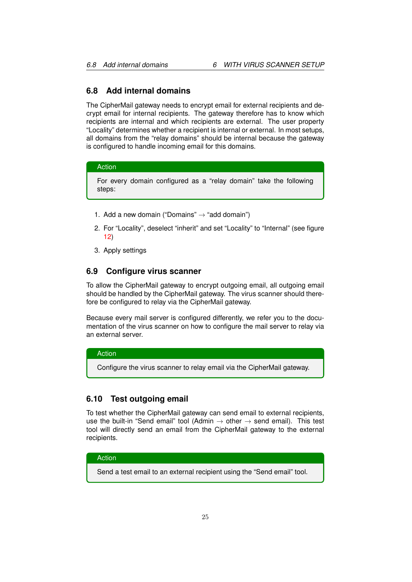### <span id="page-25-0"></span>**6.8 Add internal domains**

The CipherMail gateway needs to encrypt email for external recipients and decrypt email for internal recipients. The gateway therefore has to know which recipients are internal and which recipients are external. The user property "Locality" determines whether a recipient is internal or external. In most setups, all domains from the "relay domains" should be internal because the gateway is configured to handle incoming email for this domains.

#### Action

For every domain configured as a "relay domain" take the following steps:

- 1. Add a new domain ("Domains"  $\rightarrow$  "add domain")
- 2. For "Locality", deselect "inherit" and set "Locality" to "Internal" (see figure [12\)](#page-14-3)
- 3. Apply settings

### <span id="page-25-1"></span>**6.9 Configure virus scanner**

To allow the CipherMail gateway to encrypt outgoing email, all outgoing email should be handled by the CipherMail gateway. The virus scanner should therefore be configured to relay via the CipherMail gateway.

Because every mail server is configured differently, we refer you to the documentation of the virus scanner on how to configure the mail server to relay via an external server.

### Action

Configure the virus scanner to relay email via the CipherMail gateway.

### <span id="page-25-2"></span>**6.10 Test outgoing email**

To test whether the CipherMail gateway can send email to external recipients, use the built-in "Send email" tool (Admin  $\rightarrow$  other  $\rightarrow$  send email). This test tool will directly send an email from the CipherMail gateway to the external recipients.

#### Action

Send a test email to an external recipient using the "Send email" tool.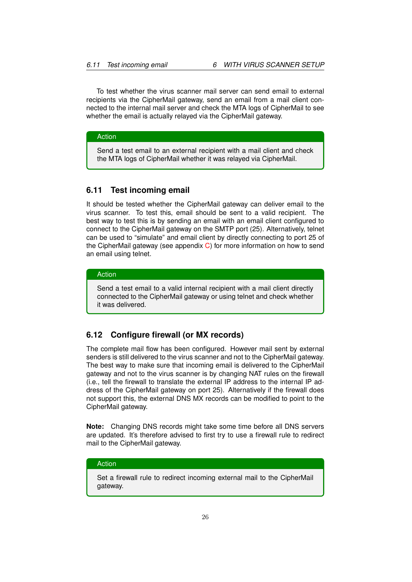To test whether the virus scanner mail server can send email to external recipients via the CipherMail gateway, send an email from a mail client connected to the internal mail server and check the MTA logs of CipherMail to see whether the email is actually relayed via the CipherMail gateway.

Action

Send a test email to an external recipient with a mail client and check the MTA logs of CipherMail whether it was relayed via CipherMail.

### <span id="page-26-0"></span>**6.11 Test incoming email**

It should be tested whether the CipherMail gateway can deliver email to the virus scanner. To test this, email should be sent to a valid recipient. The best way to test this is by sending an email with an email client configured to connect to the CipherMail gateway on the SMTP port (25). Alternatively, telnet can be used to "simulate" and email client by directly connecting to port 25 of the CipherMail gateway (see appendix  $C$ ) for more information on how to send an email using telnet.

### Action

Send a test email to a valid internal recipient with a mail client directly connected to the CipherMail gateway or using telnet and check whether it was delivered.

### <span id="page-26-1"></span>**6.12 Configure firewall (or MX records)**

The complete mail flow has been configured. However mail sent by external senders is still delivered to the virus scanner and not to the CipherMail gateway. The best way to make sure that incoming email is delivered to the CipherMail gateway and not to the virus scanner is by changing NAT rules on the firewall (i.e., tell the firewall to translate the external IP address to the internal IP address of the CipherMail gateway on port 25). Alternatively if the firewall does not support this, the external DNS MX records can be modified to point to the CipherMail gateway.

**Note:** Changing DNS records might take some time before all DNS servers are updated. It's therefore advised to first try to use a firewall rule to redirect mail to the CipherMail gateway.

#### Action

Set a firewall rule to redirect incoming external mail to the CipherMail gateway.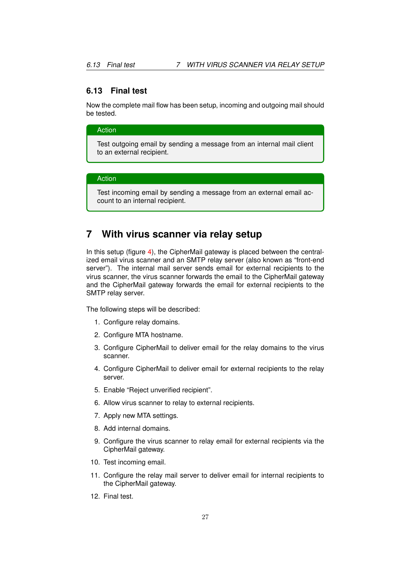### <span id="page-27-0"></span>**6.13 Final test**

Now the complete mail flow has been setup, incoming and outgoing mail should be tested.

#### Action

Test outgoing email by sending a message from an internal mail client to an external recipient.

### Action

Test incoming email by sending a message from an external email account to an internal recipient.

# <span id="page-27-1"></span>**7 With virus scanner via relay setup**

In this setup (figure [4\)](#page-6-2), the CipherMail gateway is placed between the centralized email virus scanner and an SMTP relay server (also known as "front-end server"). The internal mail server sends email for external recipients to the virus scanner, the virus scanner forwards the email to the CipherMail gateway and the CipherMail gateway forwards the email for external recipients to the SMTP relay server.

The following steps will be described:

- 1. Configure relay domains.
- 2. Configure MTA hostname.
- 3. Configure CipherMail to deliver email for the relay domains to the virus scanner.
- 4. Configure CipherMail to deliver email for external recipients to the relay server.
- 5. Enable "Reject unverified recipient".
- 6. Allow virus scanner to relay to external recipients.
- 7. Apply new MTA settings.
- 8. Add internal domains.
- 9. Configure the virus scanner to relay email for external recipients via the CipherMail gateway.
- 10. Test incoming email.
- 11. Configure the relay mail server to deliver email for internal recipients to the CipherMail gateway.
- 12. Final test.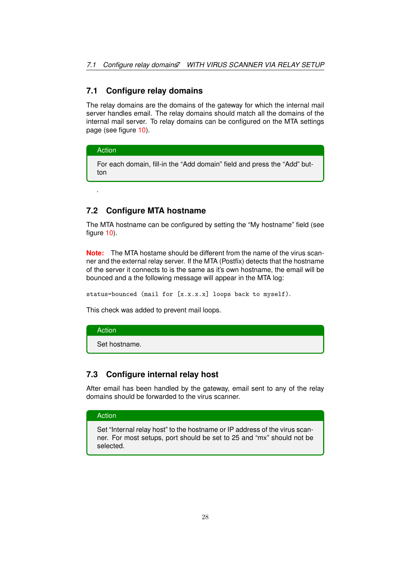### <span id="page-28-0"></span>**7.1 Configure relay domains**

The relay domains are the domains of the gateway for which the internal mail server handles email. The relay domains should match all the domains of the internal mail server. To relay domains can be configured on the MTA settings page (see figure [10\)](#page-11-0).

#### Action

.

For each domain, fill-in the "Add domain" field and press the "Add" button

### <span id="page-28-1"></span>**7.2 Configure MTA hostname**

The MTA hostname can be configured by setting the "My hostname" field (see figure [10\)](#page-11-0).

**Note:** The MTA hostame should be different from the name of the virus scanner and the external relay server. If the MTA (Postfix) detects that the hostname of the server it connects to is the same as it's own hostname, the email will be bounced and a the following message will appear in the MTA log:

status=bounced (mail for [x.x.x.x] loops back to myself).

This check was added to prevent mail loops.

### Action

Set hostname.

### <span id="page-28-2"></span>**7.3 Configure internal relay host**

After email has been handled by the gateway, email sent to any of the relay domains should be forwarded to the virus scanner.

#### Action

Set "Internal relay host" to the hostname or IP address of the virus scanner. For most setups, port should be set to 25 and "mx" should not be selected.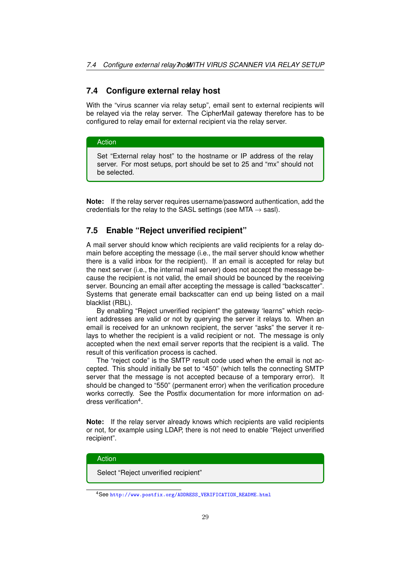### <span id="page-29-0"></span>**7.4 Configure external relay host**

With the "virus scanner via relay setup", email sent to external recipients will be relayed via the relay server. The CipherMail gateway therefore has to be configured to relay email for external recipient via the relay server.

#### Action

Set "External relay host" to the hostname or IP address of the relay server. For most setups, port should be set to 25 and "mx" should not be selected.

**Note:** If the relay server requires username/password authentication, add the credentials for the relay to the SASL settings (see MTA  $\rightarrow$  sasl).

### <span id="page-29-1"></span>**7.5 Enable "Reject unverified recipient"**

A mail server should know which recipients are valid recipients for a relay domain before accepting the message (i.e., the mail server should know whether there is a valid inbox for the recipient). If an email is accepted for relay but the next server (i.e., the internal mail server) does not accept the message because the recipient is not valid, the email should be bounced by the receiving server. Bouncing an email after accepting the message is called "backscatter". Systems that generate email backscatter can end up being listed on a mail blacklist (RBL).

By enabling "Reject unverified recipient" the gateway 'learns" which recipient addresses are valid or not by querying the server it relays to. When an email is received for an unknown recipient, the server "asks" the server it relays to whether the recipient is a valid recipient or not. The message is only accepted when the next email server reports that the recipient is a valid. The result of this verification process is cached.

The "reject code" is the SMTP result code used when the email is not accepted. This should initially be set to "450" (which tells the connecting SMTP server that the message is not accepted because of a temporary error). It should be changed to "550" (permanent error) when the verification procedure works correctly. See the Postfix documentation for more information on address verification<sup>4</sup>.

**Note:** If the relay server already knows which recipients are valid recipients or not, for example using LDAP, there is not need to enable "Reject unverified recipient".

#### Action

Select "Reject unverified recipient"

<sup>4</sup>See [http://www.postfix.org/ADDRESS\\_VERIFICATION\\_README.html](http://www.postfix.org/ADDRESS_VERIFICATION_README.html)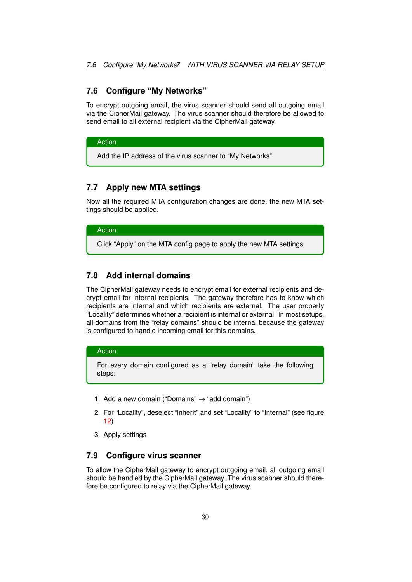### <span id="page-30-0"></span>**7.6 Configure "My Networks"**

To encrypt outgoing email, the virus scanner should send all outgoing email via the CipherMail gateway. The virus scanner should therefore be allowed to send email to all external recipient via the CipherMail gateway.

Action

Add the IP address of the virus scanner to "My Networks".

### <span id="page-30-1"></span>**7.7 Apply new MTA settings**

Now all the required MTA configuration changes are done, the new MTA settings should be applied.

### Action

Click "Apply" on the MTA config page to apply the new MTA settings.

### <span id="page-30-2"></span>**7.8 Add internal domains**

The CipherMail gateway needs to encrypt email for external recipients and decrypt email for internal recipients. The gateway therefore has to know which recipients are internal and which recipients are external. The user property "Locality" determines whether a recipient is internal or external. In most setups, all domains from the "relay domains" should be internal because the gateway is configured to handle incoming email for this domains.

### Action

For every domain configured as a "relay domain" take the following steps:

- 1. Add a new domain ("Domains"  $\rightarrow$  "add domain")
- 2. For "Locality", deselect "inherit" and set "Locality" to "Internal" (see figure [12\)](#page-14-3)
- 3. Apply settings

### <span id="page-30-3"></span>**7.9 Configure virus scanner**

To allow the CipherMail gateway to encrypt outgoing email, all outgoing email should be handled by the CipherMail gateway. The virus scanner should therefore be configured to relay via the CipherMail gateway.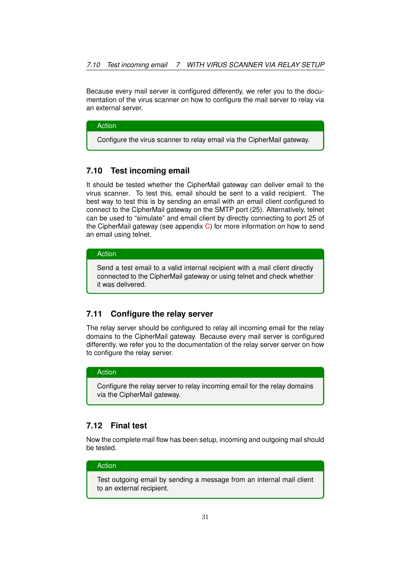Because every mail server is configured differently, we refer you to the documentation of the virus scanner on how to configure the mail server to relay via an external server.

#### Action

Configure the virus scanner to relay email via the CipherMail gateway.

### <span id="page-31-0"></span>**7.10 Test incoming email**

It should be tested whether the CipherMail gateway can deliver email to the virus scanner. To test this, email should be sent to a valid recipient. The best way to test this is by sending an email with an email client configured to connect to the CipherMail gateway on the SMTP port (25). Alternatively, telnet can be used to "simulate" and email client by directly connecting to port 25 of the CipherMail gateway (see appendix [C\)](#page-34-0) for more information on how to send an email using telnet.

### Action

Send a test email to a valid internal recipient with a mail client directly connected to the CipherMail gateway or using telnet and check whether it was delivered.

### <span id="page-31-1"></span>**7.11 Configure the relay server**

The relay server should be configured to relay all incoming email for the relay domains to the CipherMail gateway. Because every mail server is configured differently, we refer you to the documentation of the relay server server on how to configure the relay server.

#### Action

Configure the relay server to relay incoming email for the relay domains via the CipherMail gateway.

### <span id="page-31-2"></span>**7.12 Final test**

Now the complete mail flow has been setup, incoming and outgoing mail should be tested.

### Action

Test outgoing email by sending a message from an internal mail client to an external recipient.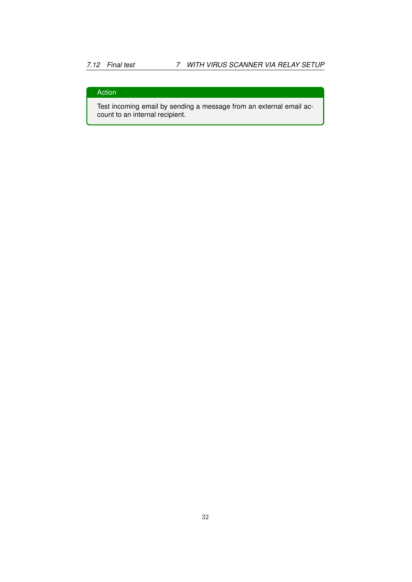## Action

Test incoming email by sending a message from an external email account to an internal recipient.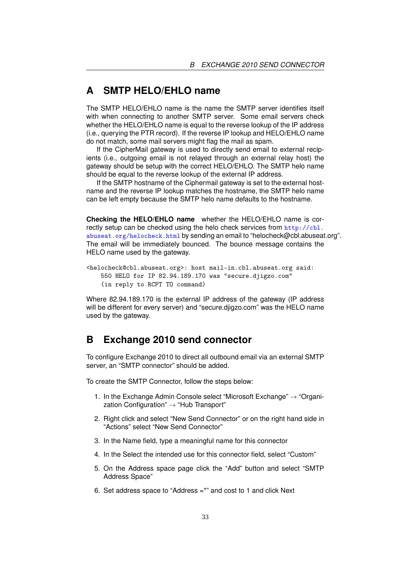# <span id="page-33-0"></span>**A SMTP HELO/EHLO name**

The SMTP HELO/EHLO name is the name the SMTP server identifies itself with when connecting to another SMTP server. Some email servers check whether the HELO/EHLO name is equal to the reverse lookup of the IP address (i.e., querying the PTR record). If the reverse IP lookup and HELO/EHLO name do not match, some mail servers might flag the mail as spam.

If the CipherMail gateway is used to directly send email to external recipients (i.e., outgoing email is not relayed through an external relay host) the gateway should be setup with the correct HELO/EHLO. The SMTP helo name should be equal to the reverse lookup of the external IP address.

If the SMTP hostname of the Ciphermail gateway is set to the external hostname and the reverse IP lookup matches the hostname, the SMTP helo name can be left empty because the SMTP helo name defaults to the hostname.

**Checking the HELO/EHLO name** whether the HELO/EHLO name is correctly setup can be checked using the helo check services from  $\frac{http://cbl.}{$  $\frac{http://cbl.}{$  $\frac{http://cbl.}{$ [abuseat.org/helocheck.html](http://cbl.abuseat.org/helocheck.html) by sending an email to "helocheck@cbl.abuseat.org". The email will be immediately bounced. The bounce message contains the HELO name used by the gateway.

```
<helocheck@cbl.abuseat.org>: host mail-in.cbl.abuseat.org said:
   550 HELO for IP 82.94.189.170 was "secure.djigzo.com"
   (in reply to RCPT TO command)
```
Where 82.94.189.170 is the external IP address of the gateway (IP address will be different for every server) and "secure.djigzo.com" was the HELO name used by the gateway.

# <span id="page-33-1"></span>**B Exchange 2010 send connector**

To configure Exchange 2010 to direct all outbound email via an external SMTP server, an "SMTP connector" should be added.

To create the SMTP Connector, follow the steps below:

- 1. In the Exchange Admin Console select "Microsoft Exchange" → "Organization Configuration"  $\rightarrow$  "Hub Transport"
- 2. Right click and select "New Send Connector" or on the right hand side in "Actions" select "New Send Connector"
- 3. In the Name field, type a meaningful name for this connector
- 4. In the Select the intended use for this connector field, select "Custom"
- 5. On the Address space page click the "Add" button and select "SMTP Address Space"
- 6. Set address space to "Address =\*" and cost to 1 and click Next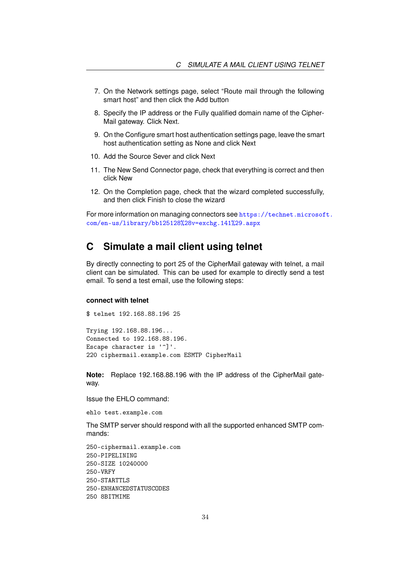- 7. On the Network settings page, select "Route mail through the following smart host" and then click the Add button
- 8. Specify the IP address or the Fully qualified domain name of the Cipher-Mail gateway. Click Next.
- 9. On the Configure smart host authentication settings page, leave the smart host authentication setting as None and click Next
- 10. Add the Source Sever and click Next
- 11. The New Send Connector page, check that everything is correct and then click New
- 12. On the Completion page, check that the wizard completed successfully, and then click Finish to close the wizard

For more information on managing connectors see [https://technet.microsof](https://technet.microsoft.com/en-us/library/bb125128%28v=exchg.141%29.aspx)t. [com/en-us/library/bb125128%28v=exchg.141%29.aspx](https://technet.microsoft.com/en-us/library/bb125128%28v=exchg.141%29.aspx)

# <span id="page-34-0"></span>**C Simulate a mail client using telnet**

By directly connecting to port 25 of the CipherMail gateway with telnet, a mail client can be simulated. This can be used for example to directly send a test email. To send a test email, use the following steps:

#### **connect with telnet**

\$ telnet 192.168.88.196 25

Trying 192.168.88.196... Connected to 192.168.88.196. Escape character is '<sup>^</sup>]'. 220 ciphermail.example.com ESMTP CipherMail

**Note:** Replace 192.168.88.196 with the IP address of the CipherMail gateway.

Issue the EHLO command:

ehlo test.example.com

The SMTP server should respond with all the supported enhanced SMTP commands:

```
250-ciphermail.example.com
250-PIPELINING
250-SIZE 10240000
250-VRFY
250-STARTTLS
250-ENHANCEDSTATUSCODES
250 8BITMIME
```